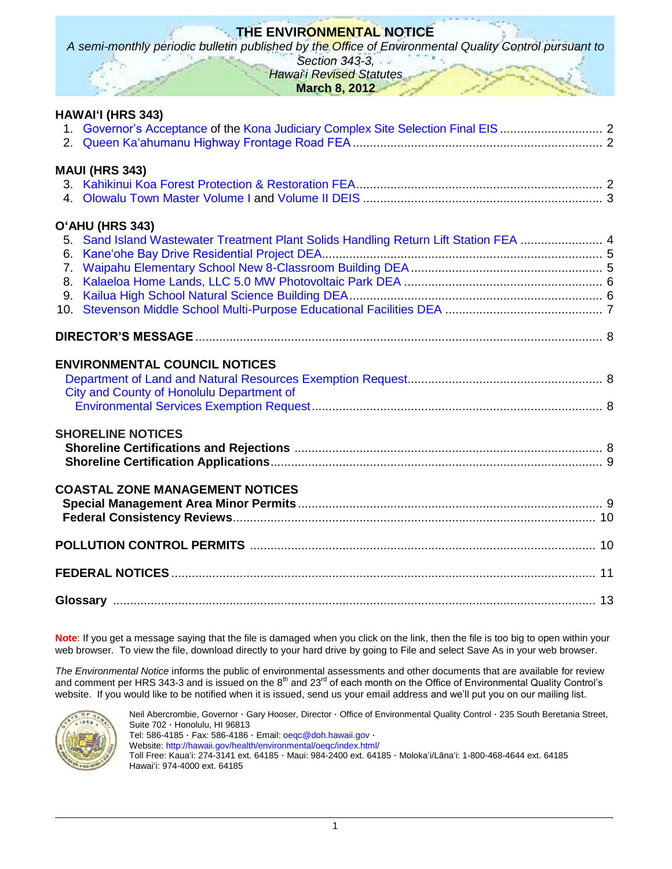# **THE ENVIRONMENTAL NOTICE**

*A semi-monthly periodic bulletin published by the Office of Environmental Quality Control pursuant to* 

*Section 343-3, Hawai*'*i Revised Statutes*

**March 8, 2012**

| HAWAI'I (HRS 343)                                                                                       |  |
|---------------------------------------------------------------------------------------------------------|--|
| 1. Governor's Acceptance of the Kona Judiciary Complex Site Selection Final EIS  2                      |  |
| <b>MAUI (HRS 343)</b>                                                                                   |  |
| O'AHU (HRS 343)<br>5. Sand Island Wastewater Treatment Plant Solids Handling Return Lift Station FEA  4 |  |
|                                                                                                         |  |
| <b>ENVIRONMENTAL COUNCIL NOTICES</b><br>City and County of Honolulu Department of                       |  |
| <b>SHORELINE NOTICES</b>                                                                                |  |
| <b>COASTAL ZONE MANAGEMENT NOTICES</b>                                                                  |  |
|                                                                                                         |  |
|                                                                                                         |  |
|                                                                                                         |  |

**Note**: If you get a message saying that the file is damaged when you click on the link, then the file is too big to open within your web browser. To view the file, download directly to your hard drive by going to File and select Save As in your web browser.

*The Environmental Notice* informs the public of environmental assessments and other documents that are available for review and comment per HRS 343-3 and is issued on the 8<sup>th</sup> and 23<sup>rd</sup> of each month on the Office of Environmental Quality Control's website. If you would like to be notified when it is issued, send us your email address and we'll put you on our mailing list.



Neil Abercrombie, Governor · Gary Hooser, Director · Office of Environmental Quality Control · 235 South Beretania Street, Suite 702 · Honolulu, HI 96813 Tel: 586-4185 · Fax: 586-4186 · Email: [oeqc@doh.hawaii.gov](mailto:oeqc@doh.hawaii.gov) · Website:<http://hawaii.gov/health/environmental/oeqc/index.html/> Toll Free: Kauaʻi: 274-3141 ext. 64185 · Maui: 984-2400 ext. 64185 · Molokaʻi/Lānaʻi: 1-800-468-4644 ext. 64185 Hawaiʻi: 974-4000 ext. 64185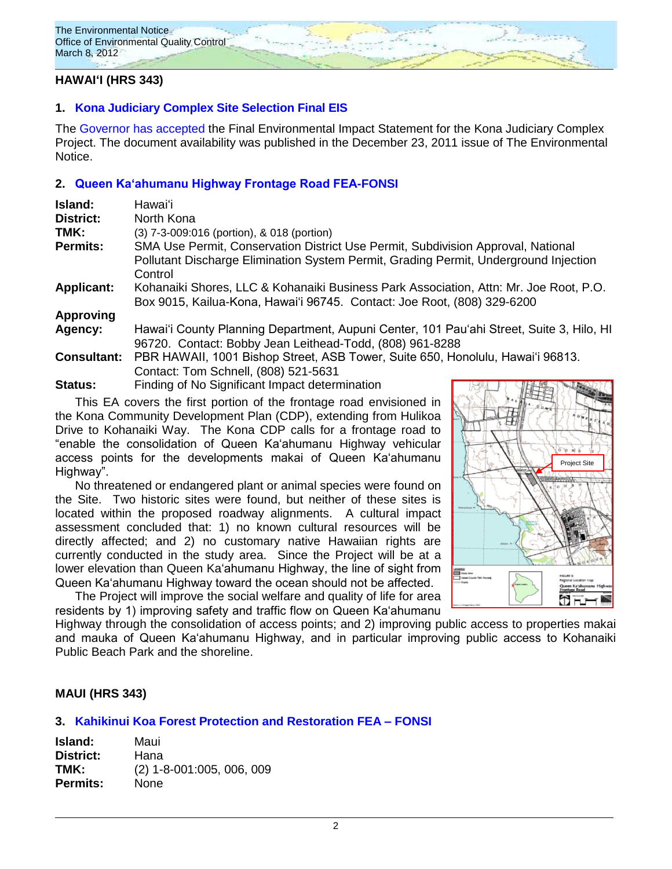

## **HAWAIʻI (HRS 343)**

## **1. [Kona Judiciary Complex Site Selection Final EIS](http://oeqc.doh.hawaii.gov/Shared%20Documents/EA_and_EIS_Online_Library/Hawaii/2010s/2011-12-23-FEIS-Kona-Judiciary-Complex.pdf)**

The [Governor](http://oeqc.doh.hawaii.gov/Shared%20Documents/EA_and_EIS_Online_Library/Hawaii/2010s/2012-03-08-FEIS-Governor-Acceptance-of-Kona%20Judiciary-Complex-Site-Selection-Project.pdf) has accepted the Final Environmental Impact Statement for the Kona Judiciary Complex Project. The document availability was published in the December 23, 2011 issue of The Environmental Notice.

## **2. [Queen Kaʻahumanu Highway Frontage Road FEA-FONSI](http://oeqc.doh.hawaii.gov/Shared%20Documents/Environmental_Council/Exemption_Lists_By_Department/Proposed-Requested-Exemptions/2012-03-08-Requested-CCH-Dept-of-Environmental-Services-Exempton-List.pdf)**

| Island:            | Hawaiʻi                                                                                         |
|--------------------|-------------------------------------------------------------------------------------------------|
| <b>District:</b>   | North Kona                                                                                      |
| TMK:               | (3) 7-3-009:016 (portion), & 018 (portion)                                                      |
| <b>Permits:</b>    | SMA Use Permit, Conservation District Use Permit, Subdivision Approval, National                |
|                    | Pollutant Discharge Elimination System Permit, Grading Permit, Underground Injection<br>Control |
| <b>Applicant:</b>  | Kohanaiki Shores, LLC & Kohanaiki Business Park Association, Attn: Mr. Joe Root, P.O.           |
|                    | Box 9015, Kailua-Kona, Hawai'i 96745. Contact: Joe Root, (808) 329-6200                         |
| <b>Approving</b>   |                                                                                                 |
| Agency:            | Hawai'i County Planning Department, Aupuni Center, 101 Pau'ahi Street, Suite 3, Hilo, HI        |
|                    | 96720. Contact: Bobby Jean Leithead-Todd, (808) 961-8288                                        |
| <b>Consultant:</b> | PBR HAWAII, 1001 Bishop Street, ASB Tower, Suite 650, Honolulu, Hawai'i 96813.                  |
|                    | Contact: Tom Schnell, (808) 521-5631                                                            |
| Status:            | Finding of No Significant Impact determination                                                  |

This EA covers the first portion of the frontage road envisioned in the Kona Community Development Plan (CDP), extending from Hulikoa Drive to Kohanaiki Way. The Kona CDP calls for a frontage road to "enable the consolidation of Queen Kaʻahumanu Highway vehicular access points for the developments makai of Queen Kaʻahumanu Highway".

No threatened or endangered plant or animal species were found on the Site. Two historic sites were found, but neither of these sites is located within the proposed roadway alignments. A cultural impact assessment concluded that: 1) no known cultural resources will be directly affected; and 2) no customary native Hawaiian rights are currently conducted in the study area. Since the Project will be at a lower elevation than Queen Kaʻahumanu Highway, the line of sight from Queen Kaʻahumanu Highway toward the ocean should not be affected.

The Project will improve the social welfare and quality of life for area residents by 1) improving safety and traffic flow on Queen Kaʻahumanu



Highway through the consolidation of access points; and 2) improving public access to properties makai and mauka of Queen Kaʻahumanu Highway, and in particular improving public access to Kohanaiki Public Beach Park and the shoreline.

## **MAUI (HRS 343)**

## **3. [Kahikinui Koa Forest Protection and Restoration FEA –](http://oeqc.doh.hawaii.gov/Shared%20Documents/EA_and_EIS_Online_Library/Maui/2010s/2012-03-08-FEA-Kahikinui-Koa-Forest-Protection-and-Restoration.pdf) FONSI**

**Island:** Maui **District:** Hana **TMK:** (2) 1-8-001:005, 006, 009 **Permits:** None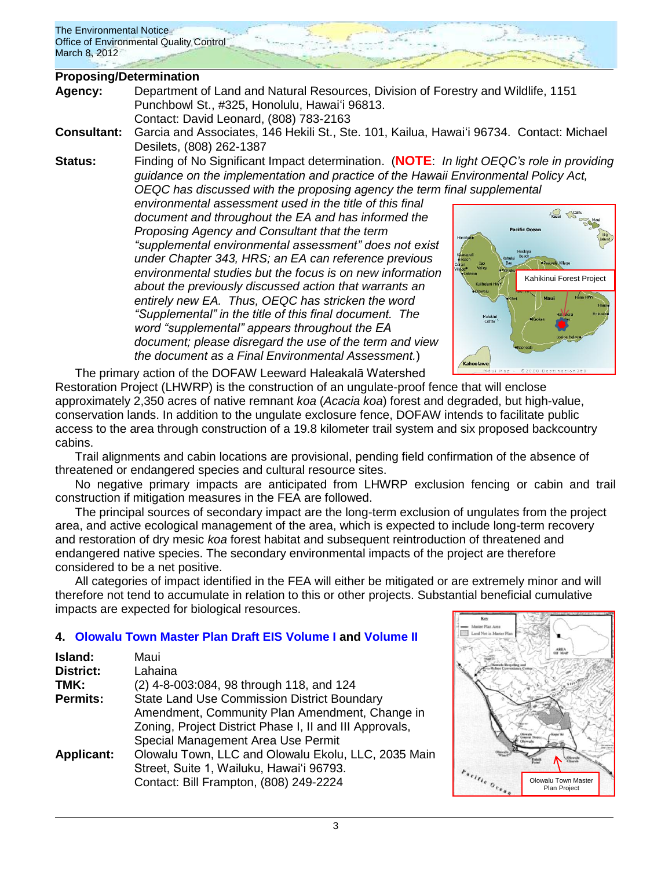### **Proposing/Determination**

- **Agency:** Department of Land and Natural Resources, Division of Forestry and Wildlife, 1151 Punchbowl St., #325, Honolulu, Hawaiʻi 96813. Contact: David Leonard, (808) 783-2163
- **Consultant:** Garcia and Associates, 146 Hekili St., Ste. 101, Kailua, Hawaiʻi 96734. Contact: Michael Desilets, (808) 262-1387
- **Status:** Finding of No Significant Impact determination. (**NOTE**: *In light OEQC's role in providing guidance on the implementation and practice of the Hawaii Environmental Policy Act, OEQC has discussed with the proposing agency the term final supplemental*

*environmental assessment used in the title of this final document and throughout the EA and has informed the Proposing Agency and Consultant that the term "supplemental environmental assessment" does not exist under Chapter 343, HRS; an EA can reference previous environmental studies but the focus is on new information about the previously discussed action that warrants an entirely new EA. Thus, OEQC has stricken the word "Supplemental" in the title of this final document. The word "supplemental" appears throughout the EA document; please disregard the use of the term and view the document as a Final Environmental Assessment.*)



The primary action of the DOFAW Leeward Haleakalā Watershed Restoration Project (LHWRP) is the construction of an ungulate-proof fence that will enclose approximately 2,350 acres of native remnant *koa* (*Acacia koa*) forest and degraded, but high-value, conservation lands. In addition to the ungulate exclosure fence, DOFAW intends to facilitate public access to the area through construction of a 19.8 kilometer trail system and six proposed backcountry cabins.

Trail alignments and cabin locations are provisional, pending field confirmation of the absence of threatened or endangered species and cultural resource sites.

No negative primary impacts are anticipated from LHWRP exclusion fencing or cabin and trail construction if mitigation measures in the FEA are followed.

The principal sources of secondary impact are the long-term exclusion of ungulates from the project area, and active ecological management of the area, which is expected to include long-term recovery and restoration of dry mesic *koa* forest habitat and subsequent reintroduction of threatened and endangered native species. The secondary environmental impacts of the project are therefore considered to be a net positive.

All categories of impact identified in the FEA will either be mitigated or are extremely minor and will therefore not tend to accumulate in relation to this or other projects. Substantial beneficial cumulative impacts are expected for biological resources.

## **4. [Olowalu Town Master Plan Draft EIS](http://oeqc.doh.hawaii.gov/Shared%20Documents/EA_and_EIS_Online_Library/Maui/2010s/2012-03-08-DEIS-Olowalu-Town-Master-Plan-Vol-I-of-II.pdf) Volume I and [Volume II](http://oeqc.doh.hawaii.gov/Shared%20Documents/EA_and_EIS_Online_Library/Maui/2010s/2012-03-08-DEIS-Olowalu-Town-Master-Plan-Vol-II-of-II.pdf)**

| Island:           | Maui                                                    |
|-------------------|---------------------------------------------------------|
| <b>District:</b>  | Lahaina                                                 |
| TMK:              | (2) 4-8-003:084, 98 through 118, and 124                |
| <b>Permits:</b>   | <b>State Land Use Commission District Boundary</b>      |
|                   | Amendment, Community Plan Amendment, Change in          |
|                   | Zoning, Project District Phase I, II and III Approvals, |
|                   | Special Management Area Use Permit                      |
| <b>Applicant:</b> | Olowalu Town, LLC and Olowalu Ekolu, LLC, 2035 Main     |
|                   | Street, Suite 1, Wailuku, Hawai'i 96793.                |
|                   | Contact: Bill Frampton, (808) 249-2224                  |

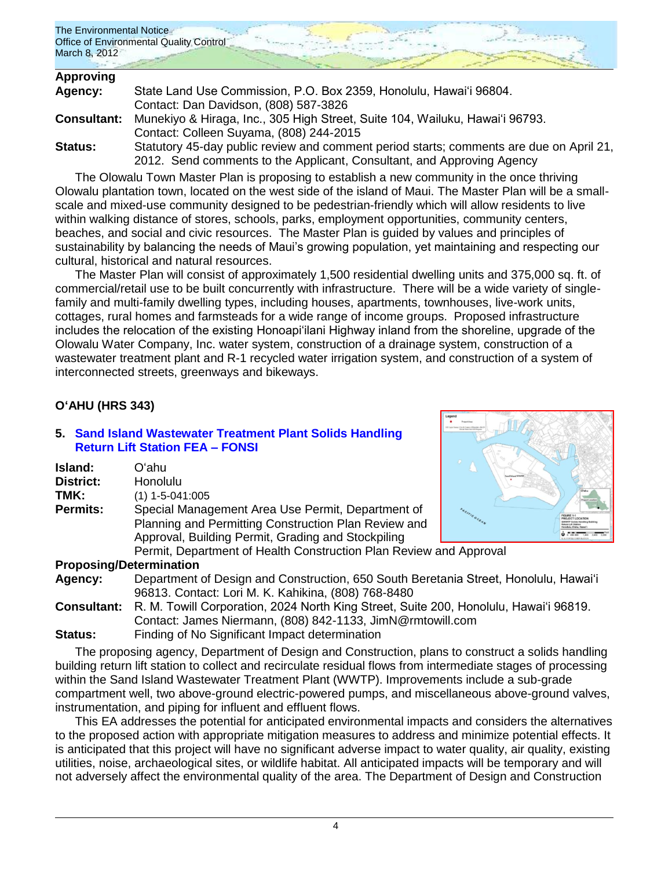| The Environmental Notice<br>Office of Environmental Quality Control<br>March 8, 2012 |  |
|--------------------------------------------------------------------------------------|--|
|                                                                                      |  |

| <b>Approving</b>   |                                                                                         |
|--------------------|-----------------------------------------------------------------------------------------|
| Agency:            | State Land Use Commission, P.O. Box 2359, Honolulu, Hawai'i 96804.                      |
|                    | Contact: Dan Davidson, (808) 587-3826                                                   |
| <b>Consultant:</b> | Munekiyo & Hiraga, Inc., 305 High Street, Suite 104, Wailuku, Hawai'i 96793.            |
|                    | Contact: Colleen Suyama, (808) 244-2015                                                 |
| Status:            | Statutory 45-day public review and comment period starts; comments are due on April 21, |
|                    | 2012. Send comments to the Applicant, Consultant, and Approving Agency                  |

The Olowalu Town Master Plan is proposing to establish a new community in the once thriving Olowalu plantation town, located on the west side of the island of Maui. The Master Plan will be a smallscale and mixed-use community designed to be pedestrian-friendly which will allow residents to live within walking distance of stores, schools, parks, employment opportunities, community centers, beaches, and social and civic resources. The Master Plan is guided by values and principles of sustainability by balancing the needs of Maui's growing population, yet maintaining and respecting our cultural, historical and natural resources.

The Master Plan will consist of approximately 1,500 residential dwelling units and 375,000 sq. ft. of commercial/retail use to be built concurrently with infrastructure. There will be a wide variety of singlefamily and multi-family dwelling types, including houses, apartments, townhouses, live-work units, cottages, rural homes and farmsteads for a wide range of income groups. Proposed infrastructure includes the relocation of the existing Honoapiʻilani Highway inland from the shoreline, upgrade of the Olowalu Water Company, Inc. water system, construction of a drainage system, construction of a wastewater treatment plant and R-1 recycled water irrigation system, and construction of a system of interconnected streets, greenways and bikeways.

## **OʻAHU (HRS 343)**

### **5. [Sand Island Wastewater Treatment Plant Solids Handling](http://oeqc.doh.hawaii.gov/Shared%20Documents/EA_and_EIS_Online_Library/Oahu/2010s/2012-03-08-DEA-Kaneohe-Bay-Drive-Residential-Project.pdf)  [Return Lift Station FEA –](http://oeqc.doh.hawaii.gov/Shared%20Documents/EA_and_EIS_Online_Library/Oahu/2010s/2012-03-08-DEA-Kaneohe-Bay-Drive-Residential-Project.pdf) FONSI**

| Island:          | Oʻahu                                                    |  |
|------------------|----------------------------------------------------------|--|
| <b>District:</b> | Honolulu                                                 |  |
| TMK:             | $(1)$ 1-5-041:005                                        |  |
| <b>Permits:</b>  | Special Management Area Use Permit, Department of        |  |
|                  | Planning and Permitting Construction Plan Review and     |  |
|                  | Approval, Building Permit, Grading and Stockpiling       |  |
|                  | Permit, Department of Health Construction Plan Review an |  |
|                  |                                                          |  |



**d Approval** 

### **Proposing/Determination**

- **Agency:** Department of Design and Construction, 650 South Beretania Street, Honolulu, Hawai'i 96813. Contact: Lori M. K. Kahikina, (808) 768-8480
- **Consultant:** R. M. Towill Corporation, 2024 North King Street, Suite 200, Honolulu, Hawai'i 96819. Contact: James Niermann, (808) 842-1133, JimN@rmtowill.com
- **Status:** Finding of No Significant Impact determination

The proposing agency, Department of Design and Construction, plans to construct a solids handling building return lift station to collect and recirculate residual flows from intermediate stages of processing within the Sand Island Wastewater Treatment Plant (WWTP). Improvements include a sub-grade compartment well, two above-ground electric-powered pumps, and miscellaneous above-ground valves, instrumentation, and piping for influent and effluent flows.

This EA addresses the potential for anticipated environmental impacts and considers the alternatives to the proposed action with appropriate mitigation measures to address and minimize potential effects. It is anticipated that this project will have no significant adverse impact to water quality, air quality, existing utilities, noise, archaeological sites, or wildlife habitat. All anticipated impacts will be temporary and will not adversely affect the environmental quality of the area. The Department of Design and Construction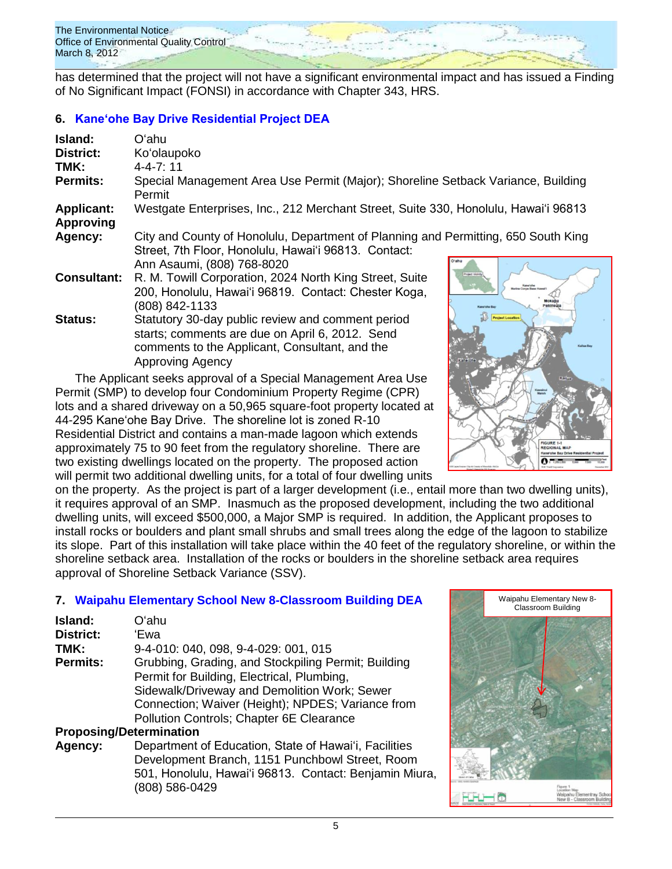The Environmental Notice Office of Environmental Quality Control March 8, 2012

has determined that the project will not have a significant environmental impact and has issued a Finding of No Significant Impact (FONSI) in accordance with Chapter 343, HRS.

# **6. [Kaneʻohe Bay Drive Residential Project DEA](http://oeqc.doh.hawaii.gov/Shared%20Documents/EA_and_EIS_Online_Library/Oahu/2010s/2012-03-08-DEA-Kaneohe-Bay-Drive-Residential-Project.pdf)**

| Island:                               | Oʻahu                                                                                                                                                                             |                                 |
|---------------------------------------|-----------------------------------------------------------------------------------------------------------------------------------------------------------------------------------|---------------------------------|
| <b>District:</b>                      | Ko'olaupoko                                                                                                                                                                       |                                 |
| TMK:                                  | $4 - 4 - 7:11$                                                                                                                                                                    |                                 |
| <b>Permits:</b>                       | Special Management Area Use Permit (Major); Shoreline Setback Variance, Building<br>Permit                                                                                        |                                 |
| <b>Applicant:</b><br><b>Approving</b> | Westgate Enterprises, Inc., 212 Merchant Street, Suite 330, Honolulu, Hawai'i 96813                                                                                               |                                 |
| Agency:                               | City and County of Honolulu, Department of Planning and Permitting, 650 South King<br>Street, 7th Floor, Honolulu, Hawai'i 96813. Contact:<br>Ann Asaumi, (808) 768-8020          |                                 |
| <b>Consultant:</b>                    | R. M. Towill Corporation, 2024 North King Street, Suite<br>200, Honolulu, Hawai'i 96819. Contact: Chester Koga,<br>(808) 842-1133                                                 | <b>Project Vick</b><br>Kane'ohe |
| <b>Status:</b>                        | Statutory 30-day public review and comment period<br>starts; comments are due on April 6, 2012. Send<br>comments to the Applicant, Consultant, and the<br><b>Approving Agency</b> | <b>Project Location</b>         |

The Applicant seeks approval of a Special Management Area Use Permit (SMP) to develop four Condominium Property Regime (CPR) lots and a shared driveway on a 50,965 square-foot property located at 44-295 Kaneʻohe Bay Drive. The shoreline lot is zoned R-10 Residential District and contains a man-made lagoon which extends approximately 75 to 90 feet from the regulatory shoreline. There are two existing dwellings located on the property. The proposed action will permit two additional dwelling units, for a total of four dwelling units

 $\overline{\mathbf{r}}$ 

on the property. As the project is part of a larger development (i.e., entail more than two dwelling units), it requires approval of an SMP. Inasmuch as the proposed development, including the two additional dwelling units, will exceed \$500,000, a Major SMP is required. In addition, the Applicant proposes to install rocks or boulders and plant small shrubs and small trees along the edge of the lagoon to stabilize its slope. Part of this installation will take place within the 40 feet of the regulatory shoreline, or within the shoreline setback area. Installation of the rocks or boulders in the shoreline setback area requires approval of Shoreline Setback Variance (SSV).

# **7. [Waipahu Elementary School New 8-Classroom Building DEA](http://oeqc.doh.hawaii.gov/Shared%20Documents/EA_and_EIS_Online_Library/Oahu/2010s/2012-03-08-DEA-Waipahu-Elementary-New-8-Classroom-Building.pdf)**

| Island:         | Oʻahu                                               |
|-----------------|-----------------------------------------------------|
| District:       | 'Ewa                                                |
| TMK:            | 9-4-010: 040, 098, 9-4-029: 001, 015                |
| <b>Permits:</b> | Grubbing, Grading, and Stockpiling Permit; Building |
|                 | Permit for Building, Electrical, Plumbing,          |
|                 | Sidewalk/Driveway and Demolition Work; Sewer        |
|                 | Connection; Waiver (Height); NPDES; Variance from   |
|                 | Pollution Controls; Chapter 6E Clearance            |
|                 |                                                     |

## **Proposing/Determination**

**Agency:** Department of Education, State of Hawai'i, Facilities Development Branch, 1151 Punchbowl Street, Room 501, Honolulu, Hawai'i 96813. Contact: Benjamin Miura, (808) 586-0429

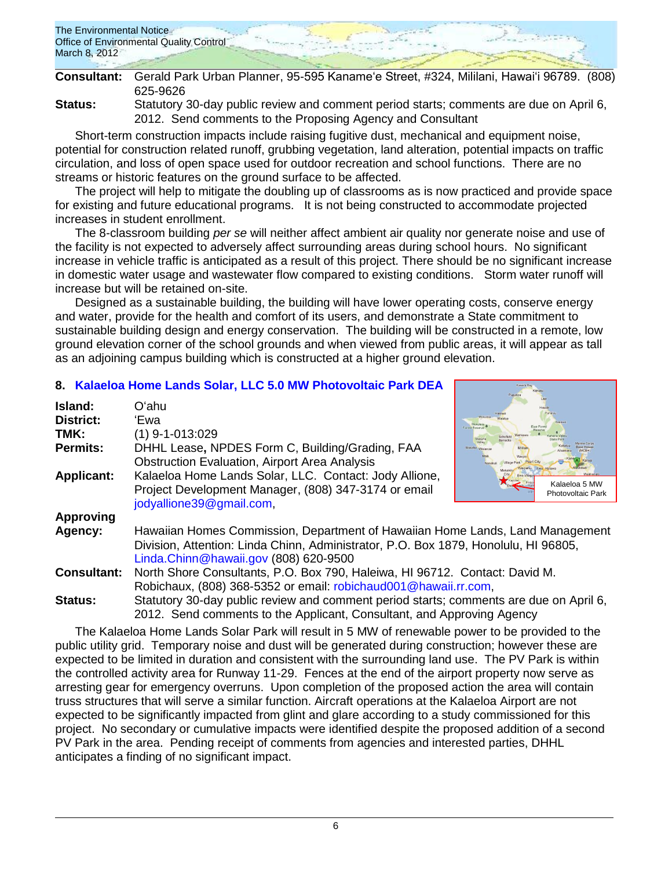| The Environmental Notice<br>Office of Environmental Quality Control |  |  |
|---------------------------------------------------------------------|--|--|
| March 8, 2012                                                       |  |  |

|         | Consultant: Gerald Park Urban Planner, 95-595 Kaname'e Street, #324, Mililani, Hawai'i 96789. (808) |
|---------|-----------------------------------------------------------------------------------------------------|
|         | 625-9626                                                                                            |
| Status: | Statutory 30-day public review and comment period starts; comments are due on April 6,              |

2012. Send comments to the Proposing Agency and Consultant

Short-term construction impacts include raising fugitive dust, mechanical and equipment noise, potential for construction related runoff, grubbing vegetation, land alteration, potential impacts on traffic circulation, and loss of open space used for outdoor recreation and school functions. There are no streams or historic features on the ground surface to be affected.

The project will help to mitigate the doubling up of classrooms as is now practiced and provide space for existing and future educational programs. It is not being constructed to accommodate projected increases in student enrollment.

The 8-classroom building *per se* will neither affect ambient air quality nor generate noise and use of the facility is not expected to adversely affect surrounding areas during school hours. No significant increase in vehicle traffic is anticipated as a result of this project. There should be no significant increase in domestic water usage and wastewater flow compared to existing conditions. Storm water runoff will increase but will be retained on-site.

Designed as a sustainable building, the building will have lower operating costs, conserve energy and water, provide for the health and comfort of its users, and demonstrate a State commitment to sustainable building design and energy conservation. The building will be constructed in a remote, low ground elevation corner of the school grounds and when viewed from public areas, it will appear as tall as an adjoining campus building which is constructed at a higher ground elevation.

## **8. [Kalaeloa Home Lands Solar, LLC 5.0 MW Photovoltaic Park DEA](http://oeqc.doh.hawaii.gov/Shared%20Documents/EA_and_EIS_Online_Library/Oahu/2010s/2012-03-08-DEA-Kalaeloa-Home-Lands-Solar-LLC-5-MW-Photovoltaic-Park.pdf)**

| Island:            | Oʻahu                                                                                  |                                           |
|--------------------|----------------------------------------------------------------------------------------|-------------------------------------------|
| <b>District:</b>   | 'Ewa                                                                                   | Ankráeta                                  |
| TMK:               | $(1)$ 9-1-013:029                                                                      | prest Reserve<br>Makah                    |
| Permits:           | DHHL Lease, NPDES Form C, Building/Grading, FAA                                        |                                           |
|                    | <b>Obstruction Evaluation, Airport Area Analysis</b>                                   |                                           |
| <b>Applicant:</b>  | Kalaeloa Home Lands Solar, LLC. Contact: Jody Allione,                                 |                                           |
|                    | Project Development Manager, (808) 347-3174 or email                                   | Kalaeloa 5 MW<br><b>Photovoltaic Park</b> |
|                    | jodyallione39@gmail.com,                                                               |                                           |
| <b>Approving</b>   |                                                                                        |                                           |
| Agency:            | Hawaiian Homes Commission, Department of Hawaiian Home Lands, Land Management          |                                           |
|                    | Division, Attention: Linda Chinn, Administrator, P.O. Box 1879, Honolulu, HI 96805,    |                                           |
|                    | Linda.Chinn@hawaii.gov (808) 620-9500                                                  |                                           |
| <b>Consultant:</b> | North Shore Consultants, P.O. Box 790, Haleiwa, HI 96712. Contact: David M.            |                                           |
|                    | Robichaux, (808) 368-5352 or email: robichaud001@hawaii.rr.com,                        |                                           |
| <b>Status:</b>     | Statutory 30-day public review and comment period starts; comments are due on April 6, |                                           |
|                    | 2012. Send comments to the Applicant, Consultant, and Approving Agency                 |                                           |

The Kalaeloa Home Lands Solar Park will result in 5 MW of renewable power to be provided to the public utility grid. Temporary noise and dust will be generated during construction; however these are expected to be limited in duration and consistent with the surrounding land use. The PV Park is within the controlled activity area for Runway 11-29. Fences at the end of the airport property now serve as arresting gear for emergency overruns. Upon completion of the proposed action the area will contain truss structures that will serve a similar function. Aircraft operations at the Kalaeloa Airport are not expected to be significantly impacted from glint and glare according to a study commissioned for this project. No secondary or cumulative impacts were identified despite the proposed addition of a second PV Park in the area. Pending receipt of comments from agencies and interested parties, DHHL anticipates a finding of no significant impact.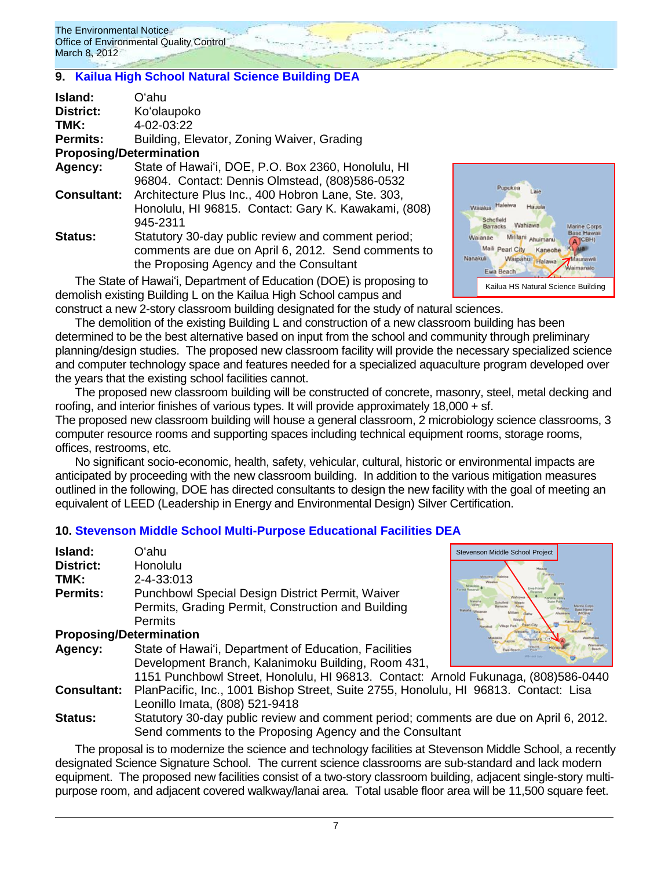The Environmental Notice Office of Environmental Quality Control March 8, 2012

## **9. [Kailua High School Natural Science Building DEA](http://oeqc.doh.hawaii.gov/Shared%20Documents/EA_and_EIS_Online_Library/Oahu/2010s/2012-03-08-DEA-Kailua-HS-Natural-Science-Buildig.pdf)**

| Island:                        | Oʻahu                                                |
|--------------------------------|------------------------------------------------------|
| District:                      | Ko'olaupoko                                          |
| TMK:                           | 4-02-03:22                                           |
| <b>Permits:</b>                | Building, Elevator, Zoning Waiver, Grading           |
| <b>Proposing/Determination</b> |                                                      |
| Agency:                        | State of Hawai'i, DOE, P.O. Box 2360, Honolulu, HI   |
|                                | 96804. Contact: Dennis Olmstead, (808)586-0532       |
| <b>Consultant:</b>             | Architecture Plus Inc., 400 Hobron Lane, Ste. 303,   |
|                                | Honolulu, HI 96815. Contact: Gary K. Kawakami, (808) |
|                                | 945-2311                                             |
| Status:                        | Statutory 30-day public review and comment period;   |
|                                | comments are due on April 6, 2012. Send comments to  |
|                                | the Proposing Agency and the Consultant              |

The State of Hawaiʻi, Department of Education (DOE) is proposing to demolish existing Building L on the Kailua High School campus and

Wahiay Mililani Ahuim Maili p earl City Kaneoh Waipahu Hal Kailua HS Natural Science Building

construct a new 2-story classroom building designated for the study of natural sciences.

The demolition of the existing Building L and construction of a new classroom building has been determined to be the best alternative based on input from the school and community through preliminary planning/design studies. The proposed new classroom facility will provide the necessary specialized science and computer technology space and features needed for a specialized aquaculture program developed over the years that the existing school facilities cannot.

The proposed new classroom building will be constructed of concrete, masonry, steel, metal decking and roofing, and interior finishes of various types. It will provide approximately 18,000 + sf.

The proposed new classroom building will house a general classroom, 2 microbiology science classrooms, 3 computer resource rooms and supporting spaces including technical equipment rooms, storage rooms, offices, restrooms, etc.

No significant socio-economic, health, safety, vehicular, cultural, historic or environmental impacts are anticipated by proceeding with the new classroom building. In addition to the various mitigation measures outlined in the following, DOE has directed consultants to design the new facility with the goal of meeting an equivalent of LEED (Leadership in Energy and Environmental Design) Silver Certification.

## **10. [Stevenson Middle School Multi-Purpose Educational Facilities DEA](http://oeqc.doh.hawaii.gov/Shared%20Documents/EA_and_EIS_Online_Library/Oahu/2010s/2012-03-08-DEA-Stevenson-Middle-School-Multi-Purpose-Facilities.pdf)**

| Island:                        | Oʻahu                                                                                 | Stevenson Middle School Project         |  |  |
|--------------------------------|---------------------------------------------------------------------------------------|-----------------------------------------|--|--|
| <b>District:</b>               | Honolulu                                                                              |                                         |  |  |
| TMK:                           | 2-4-33:013                                                                            | dokulata )                              |  |  |
| Permits:                       | Punchbowl Special Design District Permit, Waiver                                      | Moksileis<br>Ewa Fores<br>Forest Reserv |  |  |
|                                | Permits, Grading Permit, Construction and Building                                    |                                         |  |  |
|                                | <b>Permits</b>                                                                        |                                         |  |  |
| <b>Proposing/Determination</b> |                                                                                       |                                         |  |  |
| Agency:                        | State of Hawai'i, Department of Education, Facilities                                 |                                         |  |  |
|                                | Development Branch, Kalanimoku Building, Room 431,                                    |                                         |  |  |
|                                | 1151 Punchbowl Street, Honolulu, HI 96813. Contact: Arnold Fukunaga, (808)586-0440    |                                         |  |  |
| <b>Consultant:</b>             | PlanPacific, Inc., 1001 Bishop Street, Suite 2755, Honolulu, HI 96813. Contact: Lisa  |                                         |  |  |
|                                | Leonillo Imata, (808) 521-9418                                                        |                                         |  |  |
| <b>Status:</b>                 | Statutory 30-day public review and comment period; comments are due on April 6, 2012. |                                         |  |  |
|                                | Send comments to the Proposing Agency and the Consultant                              |                                         |  |  |

The proposal is to modernize the science and technology facilities at Stevenson Middle School, a recently designated Science Signature School. The current science classrooms are sub-standard and lack modern equipment. The proposed new facilities consist of a two-story classroom building, adjacent single-story multipurpose room, and adjacent covered walkway/lanai area. Total usable floor area will be 11,500 square feet.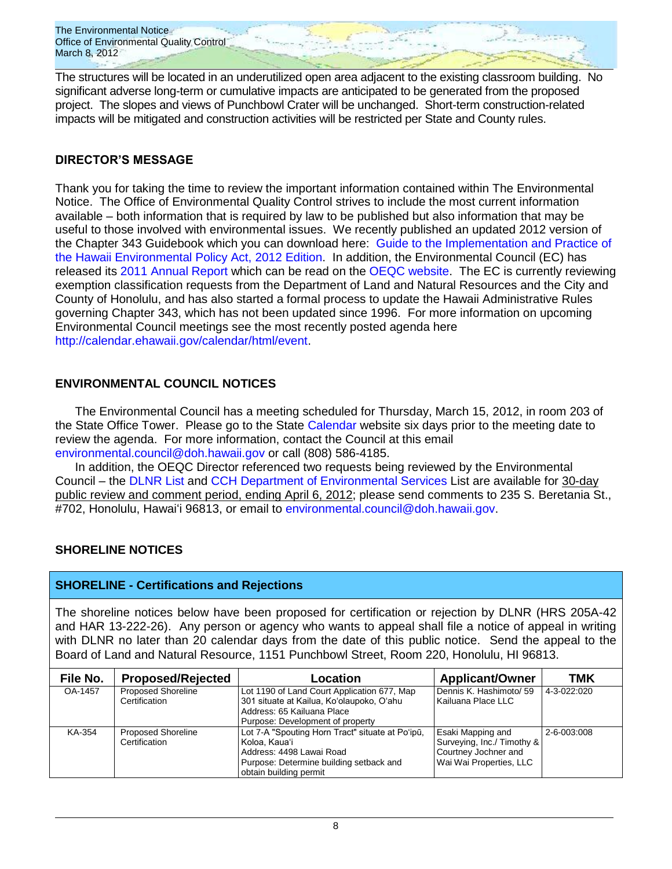The Environmental Notice Office of Environmental Quality Control March 8, 2012

The structures will be located in an underutilized open area adjacent to the existing classroom building. No significant adverse long-term or cumulative impacts are anticipated to be generated from the proposed project. The slopes and views of Punchbowl Crater will be unchanged. Short-term construction-related impacts will be mitigated and construction activities will be restricted per State and County rules.

## **DIRECTOR'S MESSAGE**

Thank you for taking the time to review the important information contained within The Environmental Notice. The Office of Environmental Quality Control strives to include the most current information available – both information that is required by law to be published but also information that may be useful to those involved with environmental issues. We recently published an updated 2012 version of the Chapter 343 Guidebook which you can download here: [Guide to the Implementation and Practice of](http://oeqc.doh.hawaii.gov/Shared%20Documents/Misc_Documents/Guide%20to%20the%20Implementation%20and%20Practices%20of%20the%20HEPA.pdf)  [the Hawaii Environmental Policy Act, 2012 Edition.](http://oeqc.doh.hawaii.gov/Shared%20Documents/Misc_Documents/Guide%20to%20the%20Implementation%20and%20Practices%20of%20the%20HEPA.pdf) In addition, the Environmental Council (EC) has released its [2011 Annual Report](http://oeqc.doh.hawaii.gov/Shared%20Documents/Environmental_Council/Annual_Reports/Annual-Report-2011.pdf) which can be read on the [OEQC website.](http://oeqc.doh.hawaii.gov/Shared%20Documents/Forms/AllItems.aspx?RootFolder=%2fShared%20Documents%2fEnvironmental%5fCouncil%2fAnnual%5fReports&View=%7bC0C5C897%2d3066%2d4821%2d864E%2d36FB3D77F5D5%7d) The EC is currently reviewing exemption classification requests from the Department of Land and Natural Resources and the City and County of Honolulu, and has also started a formal process to update the Hawaii Administrative Rules governing Chapter 343, which has not been updated since 1996. For more information on upcoming Environmental Council meetings see the most recently posted agenda here [http://calendar.ehawaii.gov/calendar/html/event.](http://calendar.ehawaii.gov/calendar/html/event)

## **ENVIRONMENTAL COUNCIL NOTICES**

The Environmental Council has a meeting scheduled for Thursday, March 15, 2012, in room 203 of the State Office Tower. Please go to the State [Calendar](http://calendar.ehawaii.gov/calendar/html/event) website six days prior to the meeting date to review the agenda. For more information, contact the Council at this email [environmental.council@doh.hawaii.gov](mailto:environmental.council@doh.hawaii.gov) or call (808) 586-4185.

In addition, the OEQC Director referenced two requests being reviewed by the Environmental Council – the [DLNR List](http://oeqc.doh.hawaii.gov/Shared%20Documents/Environmental_Council/Exemption_Lists_By_Department/Proposed-Requested-Exemptions/2012-03-08-Requested-DLNR-Exemption-List.pdf) and [CCH Department of Environmental Services](http://oeqc.doh.hawaii.gov/Shared%20Documents/Environmental_Council/Exemption_Lists_By_Department/Proposed-Requested-Exemptions/2012-03-08-Requested-CCH-Dept-of-Environmental-Services-Exempton-List.pdf) List are available for 30-day public review and comment period, ending April 6, 2012; please send comments to 235 S. Beretania St., #702, Honolulu, Hawaiʻi 96813, or email to [environmental.council@doh.hawaii.gov.](mailto:environmental.council@doh.hawaii.gov)

## **SHORELINE NOTICES**

## **SHORELINE - Certifications and Rejections**

The shoreline notices below have been proposed for certification or rejection by DLNR (HRS 205A-42 and HAR 13-222-26). Any person or agency who wants to appeal shall file a notice of appeal in writing with DLNR no later than 20 calendar days from the date of this public notice. Send the appeal to the Board of Land and Natural Resource, 1151 Punchbowl Street, Room 220, Honolulu, HI 96813.

| File No. | <b>Proposed/Rejected</b>                   | Location                                                                                                                                                           | <b>Applicant/Owner</b>                                                                             | TMK         |
|----------|--------------------------------------------|--------------------------------------------------------------------------------------------------------------------------------------------------------------------|----------------------------------------------------------------------------------------------------|-------------|
| OA-1457  | <b>Proposed Shoreline</b><br>Certification | Lot 1190 of Land Court Application 677, Map<br>301 situate at Kailua, Ko'olaupoko, O'ahu<br>Address: 65 Kailuana Place<br>Purpose: Development of property         | Dennis K. Hashimoto/ 59<br>Kailuana Place LLC                                                      | 4-3-022:020 |
| KA-354   | <b>Proposed Shoreline</b><br>Certification | Lot 7-A "Spouting Horn Tract" situate at Po'ipū,<br>Koloa, Kaua'i<br>Address: 4498 Lawai Road<br>Purpose: Determine building setback and<br>obtain building permit | Esaki Mapping and<br>Surveying, Inc./ Timothy &<br>Courtney Jochner and<br>Wai Wai Properties, LLC | 2-6-003:008 |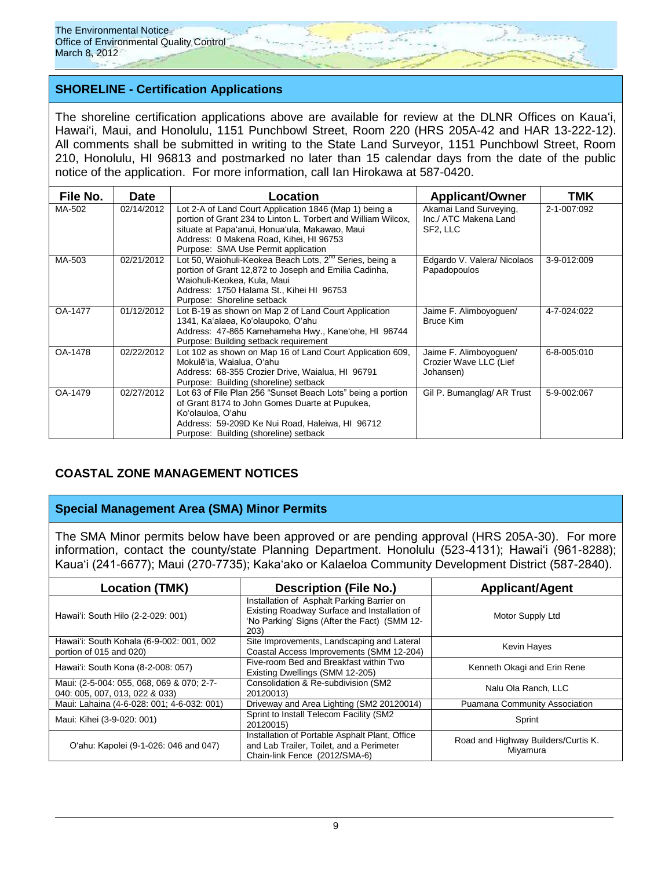

## **SHORELINE - Certification Applications**

The shoreline certification applications above are available for review at the DLNR Offices on Kauaʻi, Hawaiʻi, Maui, and Honolulu, 1151 Punchbowl Street, Room 220 (HRS 205A-42 and HAR 13-222-12). All comments shall be submitted in writing to the State Land Surveyor, 1151 Punchbowl Street, Room 210, Honolulu, HI 96813 and postmarked no later than 15 calendar days from the date of the public notice of the application. For more information, call Ian Hirokawa at 587-0420.

| File No. | <b>Date</b> | Location                                                                                                                                                                                                                                                    | <b>Applicant/Owner</b>                                        | TMK         |
|----------|-------------|-------------------------------------------------------------------------------------------------------------------------------------------------------------------------------------------------------------------------------------------------------------|---------------------------------------------------------------|-------------|
| MA-502   | 02/14/2012  | Lot 2-A of Land Court Application 1846 (Map 1) being a<br>portion of Grant 234 to Linton L. Torbert and William Wilcox,<br>situate at Papa'anui, Honua'ula, Makawao, Maui<br>Address: 0 Makena Road, Kihei, HI 96753<br>Purpose: SMA Use Permit application | Akamai Land Surveying,<br>Inc./ ATC Makena Land<br>SF2, LLC   | 2-1-007:092 |
| MA-503   | 02/21/2012  | Lot 50, Waiohuli-Keokea Beach Lots, 2 <sup>nd</sup> Series, being a<br>portion of Grant 12,872 to Joseph and Emilia Cadinha,<br>Waiohuli-Keokea, Kula, Maui<br>Address: 1750 Halama St., Kihei HI 96753<br>Purpose: Shoreline setback                       | Edgardo V. Valera/ Nicolaos<br>Papadopoulos                   | 3-9-012:009 |
| OA-1477  | 01/12/2012  | Lot B-19 as shown on Map 2 of Land Court Application<br>1341, Ka'alaea, Ko'olaupoko, O'ahu<br>Address: 47-865 Kamehameha Hwy., Kane'ohe, HI 96744<br>Purpose: Building setback requirement                                                                  | Jaime F. Alimboyoguen/<br><b>Bruce Kim</b>                    | 4-7-024:022 |
| OA-1478  | 02/22/2012  | Lot 102 as shown on Map 16 of Land Court Application 609,<br>Mokulē'ia, Waialua, O'ahu<br>Address: 68-355 Crozier Drive, Waialua, HI 96791<br>Purpose: Building (shoreline) setback                                                                         | Jaime F. Alimboyoguen/<br>Crozier Wave LLC (Lief<br>Johansen) | 6-8-005:010 |
| OA-1479  | 02/27/2012  | Lot 63 of File Plan 256 "Sunset Beach Lots" being a portion<br>of Grant 8174 to John Gomes Duarte at Pupukea,<br>Ko'olauloa, O'ahu<br>Address: 59-209D Ke Nui Road, Haleiwa, HI 96712<br>Purpose: Building (shoreline) setback                              | Gil P. Bumanglag/ AR Trust                                    | 5-9-002:067 |

## **COASTAL ZONE MANAGEMENT NOTICES**

## **Special Management Area (SMA) Minor Permits**

The SMA Minor permits below have been approved or are pending approval (HRS 205A-30). For more information, contact the county/state Planning Department. Honolulu (523-4131); Hawaiʻi (961-8288); Kauaʻi (241-6677); Maui (270-7735); Kakaʻako or Kalaeloa Community Development District (587-2840).

| <b>Location (TMK)</b>                                                       | <b>Description (File No.)</b>                                                                                                                      | <b>Applicant/Agent</b>                          |  |
|-----------------------------------------------------------------------------|----------------------------------------------------------------------------------------------------------------------------------------------------|-------------------------------------------------|--|
| Hawai'i: South Hilo (2-2-029: 001)                                          | Installation of Asphalt Parking Barrier on<br>Existing Roadway Surface and Installation of<br>'No Parking' Signs (After the Fact) (SMM 12-<br>203) | Motor Supply Ltd                                |  |
| Hawai'i: South Kohala (6-9-002: 001, 002<br>portion of 015 and 020)         | Site Improvements, Landscaping and Lateral<br>Coastal Access Improvements (SMM 12-204)                                                             | Kevin Hayes                                     |  |
| Hawai'i: South Kona (8-2-008: 057)                                          | Five-room Bed and Breakfast within Two<br>Existing Dwellings (SMM 12-205)                                                                          | Kenneth Okagi and Erin Rene                     |  |
| Maui: (2-5-004: 055, 068, 069 & 070; 2-7-<br>040: 005, 007, 013, 022 & 033) | Consolidation & Re-subdivision (SM2<br>20120013)                                                                                                   | Nalu Ola Ranch, LLC                             |  |
| Maui: Lahaina (4-6-028: 001; 4-6-032: 001)                                  | Driveway and Area Lighting (SM2 20120014)                                                                                                          | <b>Puamana Community Association</b>            |  |
| Maui: Kihei (3-9-020: 001)                                                  | Sprint to Install Telecom Facility (SM2<br>20120015)                                                                                               | Sprint                                          |  |
| O'ahu: Kapolei (9-1-026: 046 and 047)                                       | Installation of Portable Asphalt Plant, Office<br>and Lab Trailer, Toilet, and a Perimeter<br>Chain-link Fence (2012/SMA-6)                        | Road and Highway Builders/Curtis K.<br>Miyamura |  |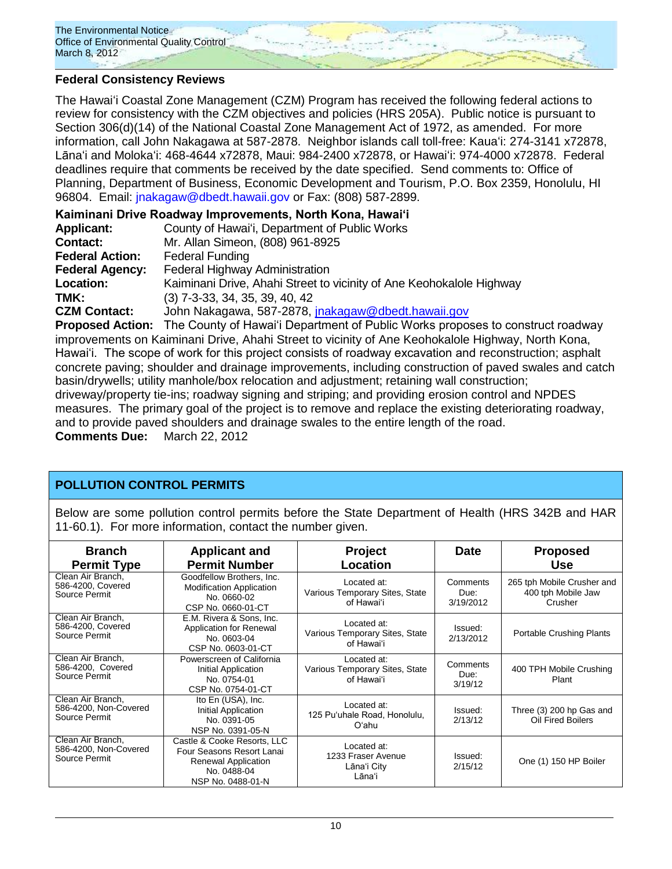

## **Federal Consistency Reviews**

The Hawaiʻi Coastal Zone Management (CZM) Program has received the following federal actions to review for consistency with the CZM objectives and policies (HRS 205A). Public notice is pursuant to Section 306(d)(14) of the National Coastal Zone Management Act of 1972, as amended. For more information, call John Nakagawa at 587-2878. Neighbor islands call toll-free: Kauaʻi: 274-3141 x72878, Lānaʻi and Molokaʻi: 468-4644 x72878, Maui: 984-2400 x72878, or Hawaiʻi: 974-4000 x72878. Federal deadlines require that comments be received by the date specified. Send comments to: Office of Planning, Department of Business, Economic Development and Tourism, P.O. Box 2359, Honolulu, HI 96804. Email: [jnakagaw@dbedt.hawaii.gov](mailto:jnakagaw@dbedt.hawaii.gov) or Fax: (808) 587-2899.

| Kaiminani Drive Roadway Improvements, North Kona, Hawai'i                                              |                                                                                                        |  |  |
|--------------------------------------------------------------------------------------------------------|--------------------------------------------------------------------------------------------------------|--|--|
| <b>Applicant:</b>                                                                                      | County of Hawai'i, Department of Public Works                                                          |  |  |
| <b>Contact:</b>                                                                                        | Mr. Allan Simeon, (808) 961-8925                                                                       |  |  |
| <b>Federal Action:</b>                                                                                 | <b>Federal Funding</b>                                                                                 |  |  |
| <b>Federal Agency:</b>                                                                                 | Federal Highway Administration                                                                         |  |  |
| Location:                                                                                              | Kaiminani Drive, Ahahi Street to vicinity of Ane Keohokalole Highway                                   |  |  |
| TMK:                                                                                                   | $(3)$ 7-3-33, 34, 35, 39, 40, 42                                                                       |  |  |
| <b>CZM Contact:</b>                                                                                    | John Nakagawa, 587-2878, jnakagaw@dbedt.hawaii.gov                                                     |  |  |
|                                                                                                        | <b>Proposed Action:</b> The County of Hawai'i Department of Public Works proposes to construct roadway |  |  |
| improvements on Kaiminani Drive, Ahahi Street to vicinity of Ane Keohokalole Highway, North Kona,      |                                                                                                        |  |  |
| Hawai'i. The scope of work for this project consists of roadway excavation and reconstruction; asphalt |                                                                                                        |  |  |
| concrete paving; shoulder and drainage improvements, including construction of paved swales and catch  |                                                                                                        |  |  |
| basin/drywells; utility manhole/box relocation and adjustment; retaining wall construction;            |                                                                                                        |  |  |
| driveway/property tie-ins; roadway signing and striping; and providing erosion control and NPDES       |                                                                                                        |  |  |
| control of the material of the material of the memory and modern the critical detection and controlled |                                                                                                        |  |  |

measures. The primary goal of the project is to remove and replace the existing deteriorating roadway, and to provide paved shoulders and drainage swales to the entire length of the road. **Comments Due:** March 22, 2012

## **POLLUTION CONTROL PERMITS**

Below are some pollution control permits before the State Department of Health (HRS 342B and HAR 11-60.1). For more information, contact the number given.

| <b>Branch</b><br><b>Permit Type</b>                         | <b>Applicant and</b><br><b>Permit Number</b>                                                                        | <b>Project</b><br>Location                                  | <b>Date</b>                   | <b>Proposed</b><br><b>Use</b>                               |
|-------------------------------------------------------------|---------------------------------------------------------------------------------------------------------------------|-------------------------------------------------------------|-------------------------------|-------------------------------------------------------------|
| Clean Air Branch,<br>586-4200, Covered<br>Source Permit     | Goodfellow Brothers, Inc.<br><b>Modification Application</b><br>No. 0660-02<br>CSP No. 0660-01-CT                   | Located at:<br>Various Temporary Sites, State<br>of Hawai'i | Comments<br>Due:<br>3/19/2012 | 265 tph Mobile Crusher and<br>400 tph Mobile Jaw<br>Crusher |
| Clean Air Branch.<br>586-4200, Covered<br>Source Permit     | E.M. Rivera & Sons, Inc.<br>Application for Renewal<br>No. 0603-04<br>CSP No. 0603-01-CT                            | Located at:<br>Various Temporary Sites, State<br>of Hawaiʻi | Issued:<br>2/13/2012          | <b>Portable Crushing Plants</b>                             |
| Clean Air Branch.<br>586-4200, Covered<br>Source Permit     | Powerscreen of California<br>Initial Application<br>No. 0754-01<br>CSP No. 0754-01-CT                               | Located at:<br>Various Temporary Sites, State<br>of Hawaiʻi | Comments<br>Due:<br>3/19/12   | 400 TPH Mobile Crushing<br>Plant                            |
| Clean Air Branch,<br>586-4200, Non-Covered<br>Source Permit | Ito En (USA), Inc.<br>Initial Application<br>No. 0391-05<br>NSP No. 0391-05-N                                       | Located at:<br>125 Pu'uhale Road, Honolulu,<br>O'ahu        | Issued:<br>2/13/12            | Three (3) 200 hp Gas and<br>Oil Fired Boilers               |
| Clean Air Branch,<br>586-4200, Non-Covered<br>Source Permit | Castle & Cooke Resorts, LLC<br>Four Seasons Resort Lanai<br>Renewal Application<br>No. 0488-04<br>NSP No. 0488-01-N | Located at:<br>1233 Fraser Avenue<br>Lāna'i City<br>Lāna'i  | Issued:<br>2/15/12            | One (1) 150 HP Boiler                                       |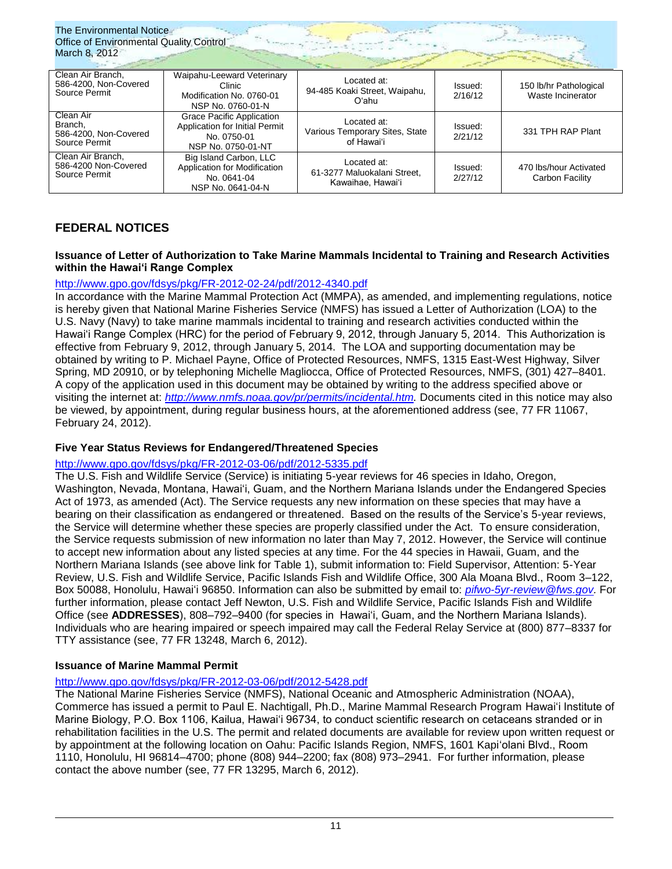| The Environmental Notice<br><b>Office of Environmental Quality Control</b><br>March 8, 2012 |                                                                                                         |                                                                 |                    |                                             |
|---------------------------------------------------------------------------------------------|---------------------------------------------------------------------------------------------------------|-----------------------------------------------------------------|--------------------|---------------------------------------------|
| Clean Air Branch.<br>586-4200, Non-Covered<br>Source Permit                                 | Waipahu-Leeward Veterinary<br>Clinic<br>Modification No. 0760-01<br>NSP No. 0760-01-N                   | Located at:<br>94-485 Koaki Street, Waipahu,<br>Oʻahu           | Issued:<br>2/16/12 | 150 lb/hr Pathological<br>Waste Incinerator |
| Clean Air<br>Branch,<br>586-4200, Non-Covered<br>Source Permit                              | <b>Grace Pacific Application</b><br>Application for Initial Permit<br>No. 0750-01<br>NSP No. 0750-01-NT | Located at:<br>Various Temporary Sites, State<br>of Hawai'i     | Issued:<br>2/21/12 | 331 TPH RAP Plant                           |
| Clean Air Branch,<br>586-4200 Non-Covered<br>Source Permit                                  | Big Island Carbon, LLC<br>Application for Modification<br>No. 0641-04<br>NSP No. 0641-04-N              | Located at:<br>61-3277 Maluokalani Street,<br>Kawaihae, Hawai'i | Issued:<br>2/27/12 | 470 lbs/hour Activated<br>Carbon Facility   |

# **FEDERAL NOTICES**

### **Issuance of Letter of Authorization to Take Marine Mammals Incidental to Training and Research Activities within the Hawai'i Range Complex**

## <http://www.gpo.gov/fdsys/pkg/FR-2012-02-24/pdf/2012-4340.pdf>

In accordance with the Marine Mammal Protection Act (MMPA), as amended, and implementing regulations, notice is hereby given that National Marine Fisheries Service (NMFS) has issued a Letter of Authorization (LOA) to the U.S. Navy (Navy) to take marine mammals incidental to training and research activities conducted within the Hawai'i Range Complex (HRC) for the period of February 9, 2012, through January 5, 2014. This Authorization is effective from February 9, 2012, through January 5, 2014. The LOA and supporting documentation may be obtained by writing to P. Michael Payne, Office of Protected Resources, NMFS, 1315 East-West Highway, Silver Spring, MD 20910, or by telephoning Michelle Magliocca, Office of Protected Resources, NMFS, (301) 427–8401. A copy of the application used in this document may be obtained by writing to the address specified above or visiting the internet at: *[http://www.nmfs.noaa.gov/pr/permits/incidental.htm.](http://www.nmfs.noaa.gov/pr/permits/incidental.htm)* Documents cited in this notice may also be viewed, by appointment, during regular business hours, at the aforementioned address (see, 77 FR 11067, February 24, 2012).

## **Five Year Status Reviews for Endangered/Threatened Species**

### <http://www.gpo.gov/fdsys/pkg/FR-2012-03-06/pdf/2012-5335.pdf>

The U.S. Fish and Wildlife Service (Service) is initiating 5-year reviews for 46 species in Idaho, Oregon, Washington, Nevada, Montana, Hawai'i, Guam, and the Northern Mariana Islands under the Endangered Species Act of 1973, as amended (Act). The Service requests any new information on these species that may have a bearing on their classification as endangered or threatened. Based on the results of the Service's 5-year reviews, the Service will determine whether these species are properly classified under the Act. To ensure consideration, the Service requests submission of new information no later than May 7, 2012. However, the Service will continue to accept new information about any listed species at any time. For the 44 species in Hawaii, Guam, and the Northern Mariana Islands (see above link for Table 1), submit information to: Field Supervisor, Attention: 5-Year Review, U.S. Fish and Wildlife Service, Pacific Islands Fish and Wildlife Office, 300 Ala Moana Blvd., Room 3–122, Box 50088, Honolulu, Hawai'i 96850. Information can also be submitted by email to: *[pifwo-5yr-review@fws.gov.](mailto:pifwo-5yr-review@fws.gov)* For further information, please contact Jeff Newton, U.S. Fish and Wildlife Service, Pacific Islands Fish and Wildlife Office (see **ADDRESSES**), 808–792–9400 (for species in Hawai'i, Guam, and the Northern Mariana Islands). Individuals who are hearing impaired or speech impaired may call the Federal Relay Service at (800) 877–8337 for TTY assistance (see, 77 FR 13248, March 6, 2012).

### **Issuance of Marine Mammal Permit**

## <http://www.gpo.gov/fdsys/pkg/FR-2012-03-06/pdf/2012-5428.pdf>

The National Marine Fisheries Service (NMFS), National Oceanic and Atmospheric Administration (NOAA), Commerce has issued a permit to Paul E. Nachtigall, Ph.D., Marine Mammal Research Program Hawai'i Institute of Marine Biology, P.O. Box 1106, Kailua, Hawai'i 96734, to conduct scientific research on cetaceans stranded or in rehabilitation facilities in the U.S. The permit and related documents are available for review upon written request or by appointment at the following location on Oahu: Pacific Islands Region, NMFS, 1601 Kapiʻolani Blvd., Room 1110, Honolulu, HI 96814–4700; phone (808) 944–2200; fax (808) 973–2941. For further information, please contact the above number (see, 77 FR 13295, March 6, 2012).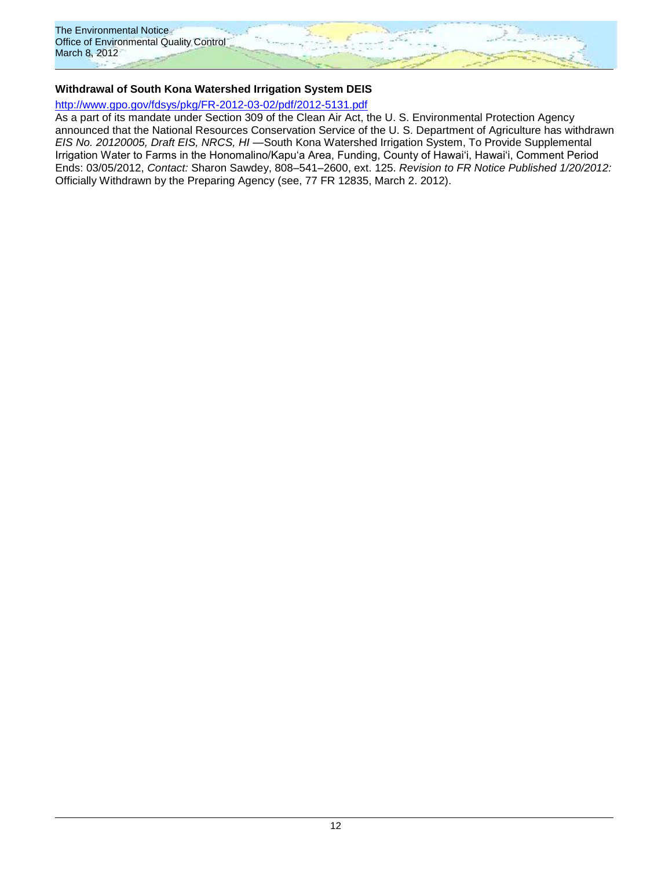

### **Withdrawal of South Kona Watershed Irrigation System DEIS**

### <http://www.gpo.gov/fdsys/pkg/FR-2012-03-02/pdf/2012-5131.pdf>

As a part of its mandate under Section 309 of the Clean Air Act, the U. S. Environmental Protection Agency announced that the National Resources Conservation Service of the U. S. Department of Agriculture has withdrawn *EIS No. 20120005, Draft EIS, NRCS, HI* —South Kona Watershed Irrigation System, To Provide Supplemental Irrigation Water to Farms in the Honomalino/Kapu'a Area, Funding, County of Hawai'i, Hawai'i, Comment Period Ends: 03/05/2012, *Contact:* Sharon Sawdey, 808–541–2600, ext. 125. *Revision to FR Notice Published 1/20/2012:*  Officially Withdrawn by the Preparing Agency (see, 77 FR 12835, March 2. 2012).